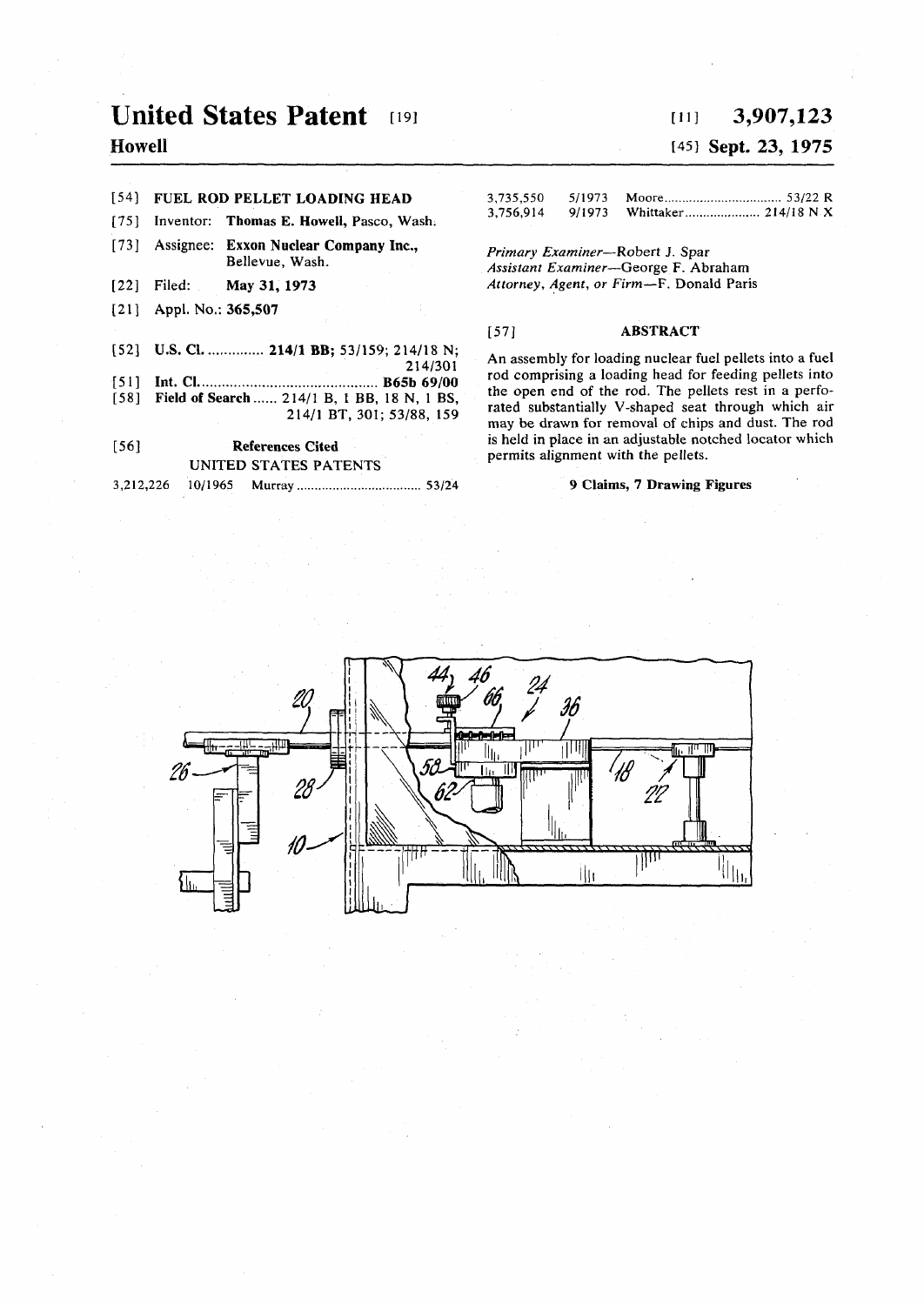# **United States Patent [19]**

## **Howell**

#### **[54] FUEL ROD PELLET LOADING HEAD**

- **[75] Inventor: Thomas E. Howell, Pasco, Wash.**
- **[73] Assignee: Exxon Nuclear Company Inc., Bellevue, Wash.**
- [22] Filed: **Filed: May 31, 1973**
- [21] **Appl. No.: 365,507**
- [52] **U.S. Cl.** ............. 214/1 BB; 53/159; 214/18 N;
- **214/301**
- **[51] Int. CI B65b 69/00 [58] Field of Search 214/1 B, I BB, 18 N, 1 BS,**
- **214/1 BT, 301; 53/88, 159**

**[56] References Cited UNITED STATES PATENTS 3,212,226 10/1965 Murray 53/24** 

## **[in 3,907,123**

## **[45] Sept. 23, 1975**

| 3,735,550 | 5/1973 |  |
|-----------|--------|--|
| 3,756.914 | 9/1973 |  |

*Primary Examiner***—Robert J. Spar**  *Assistant Examiner***—George F. Abraham**  *Attorney, Agent, or Firm***—F. Donald Paris** 

## **[57] ABSTRACT**

**An assembly for loading nuclear fuel pellets into a fuel rod comprising a loading head for feeding pellets into the open end of the rod. The pellets rest in a perforated substantially V-shaped seat through which air may be drawn for removal of chips and dust. The rod is held in place in an adjustable notched locator which permits alignment with the pellets.** 

## **9 Claims, 7 Drawing Figures**

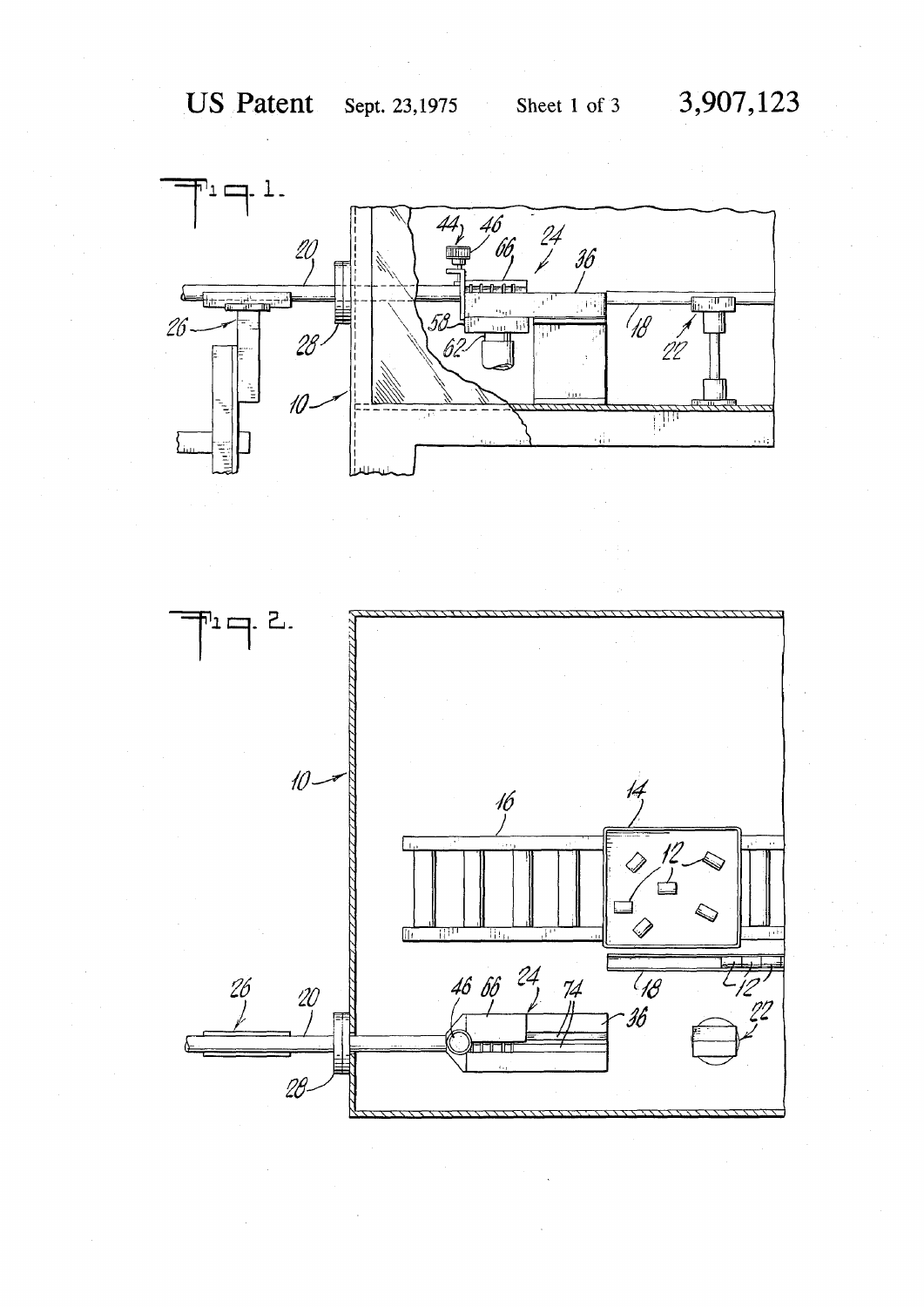

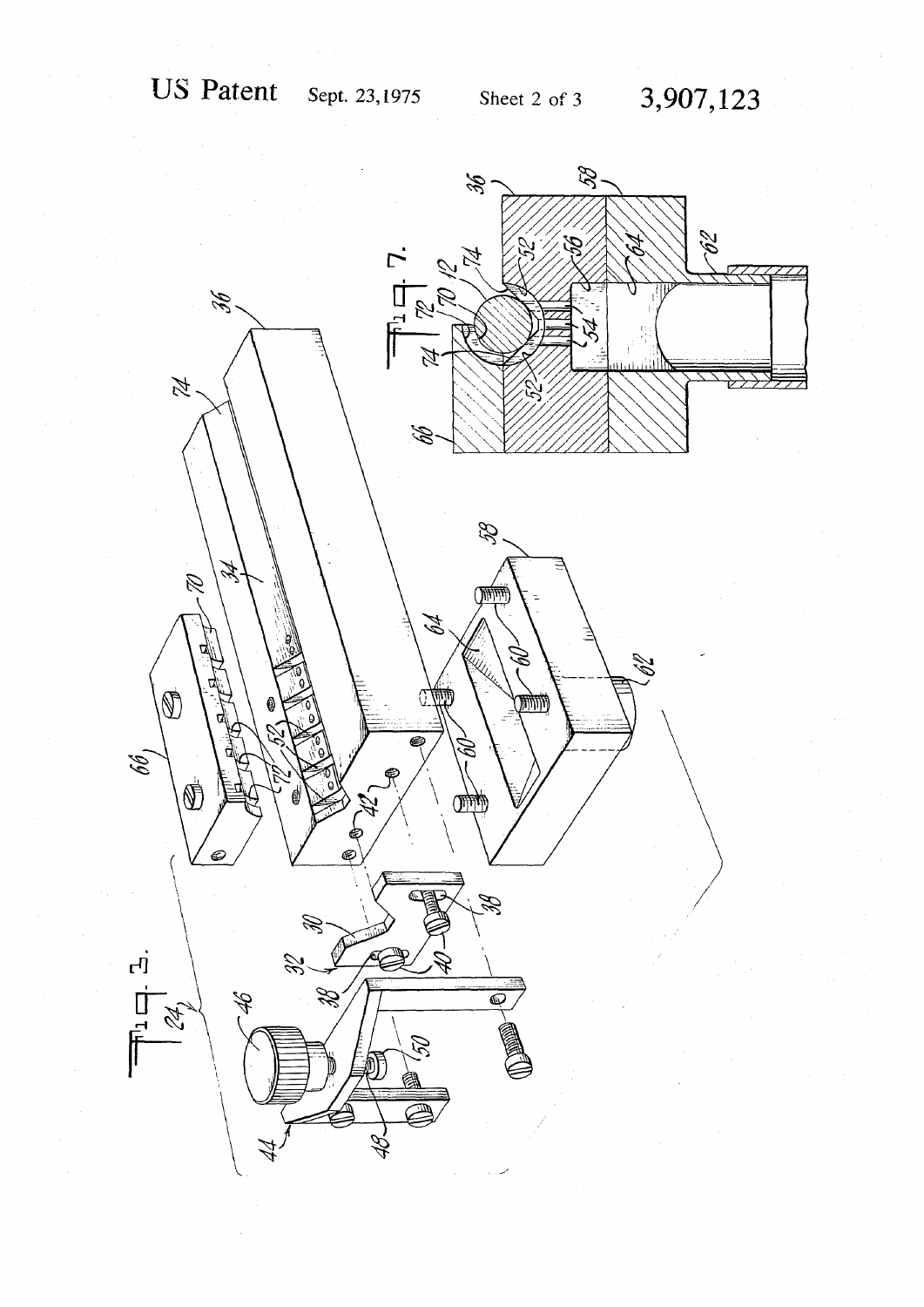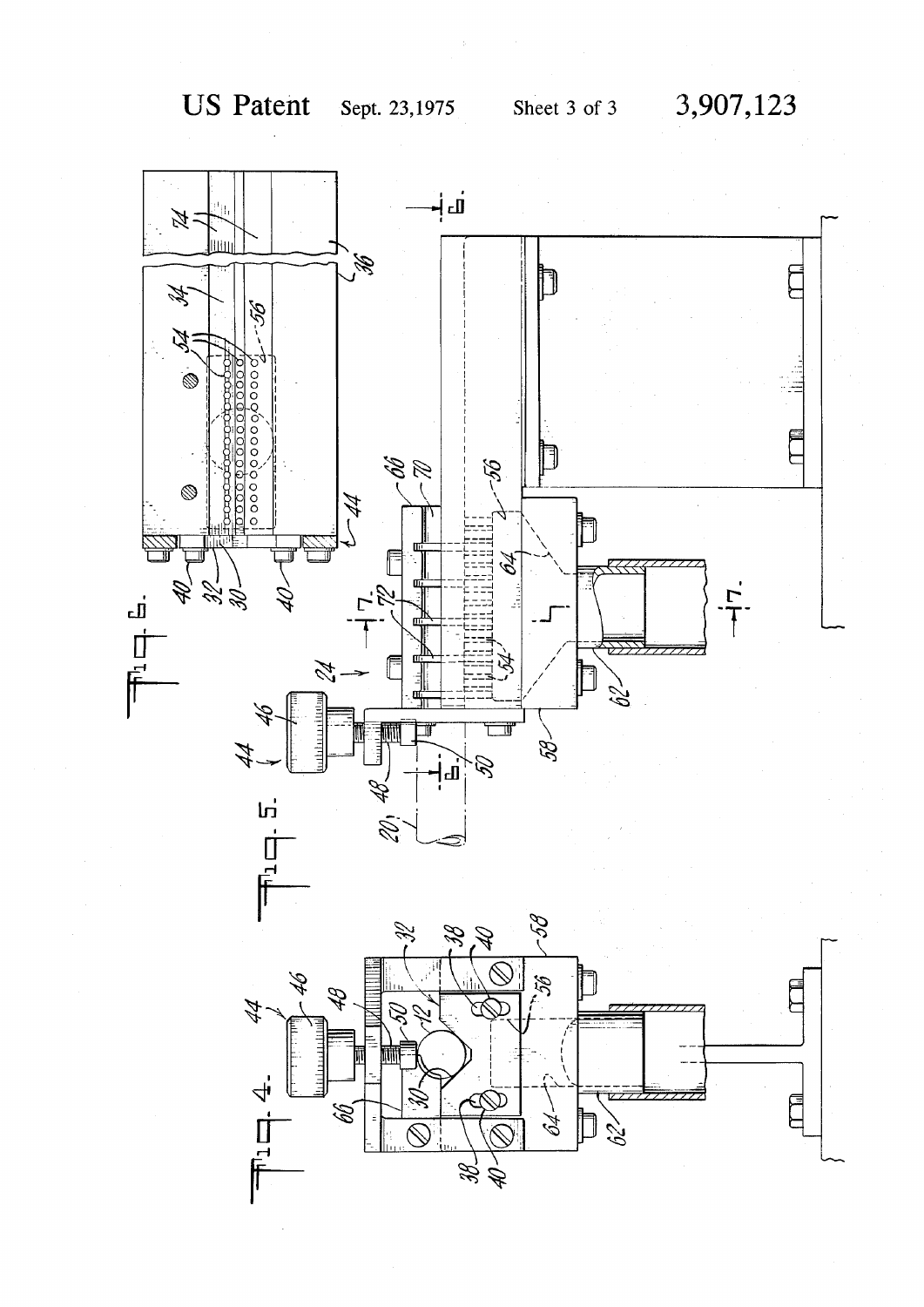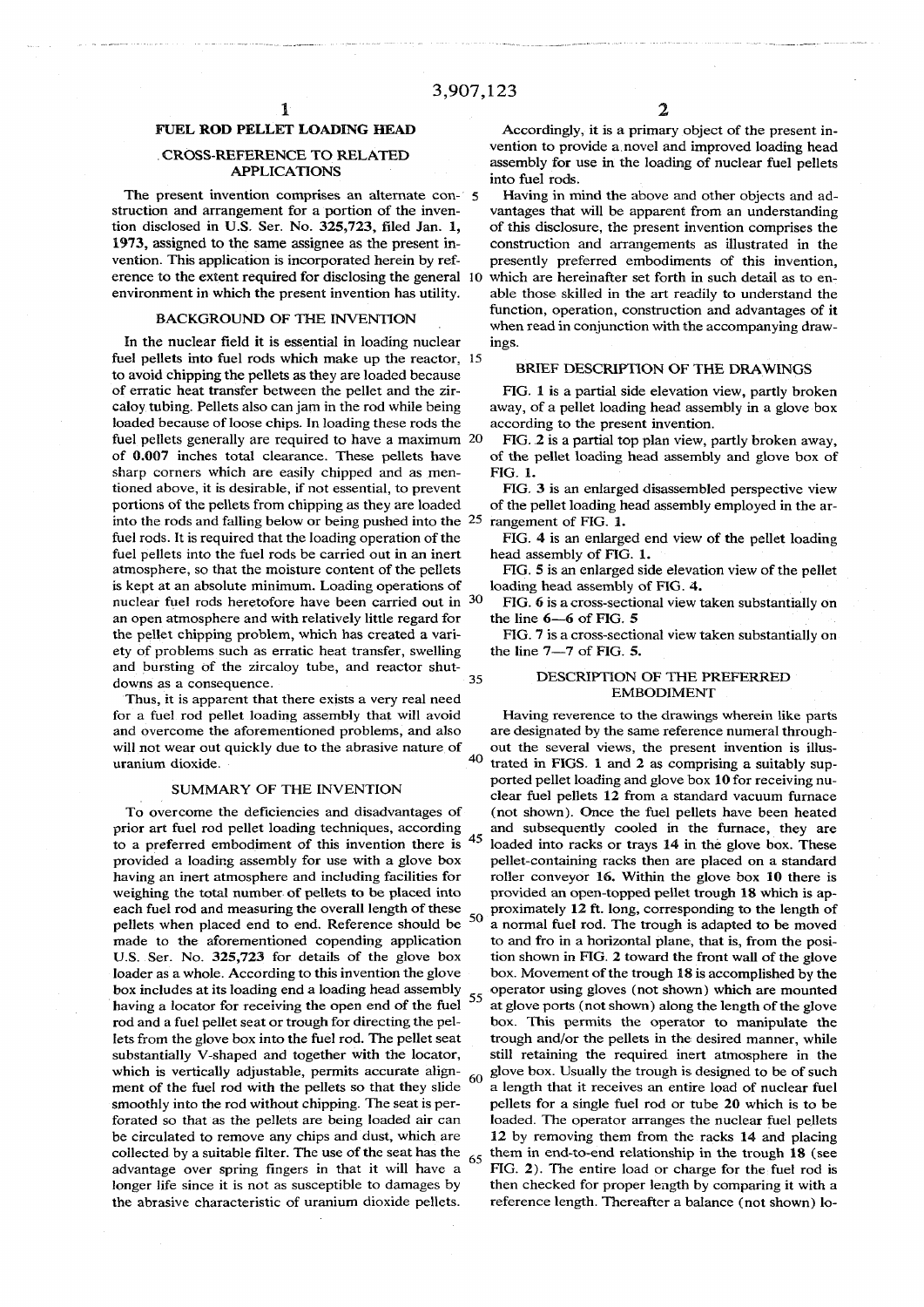## **FUEL ROD PELLET LOADING HEAD**

## **CROSS-REFERENCE TO RELATED APPLICATIONS**

**The present invention comprises an alternate con-** 5 **struction and arrangement for a portion of the invention disclosed in U.S. Ser. No. 325,723, fded Jan. 1, 1973, assigned to the same assignee as the present invention. This application is incorporated herein by reference to the extent required for disclosing the general 10 environment in which the present invention has utility.** 

## **BACKGROUND OF THE INVENTION**

**In the nuclear field it is essential in loading nuclear fuel pellets into fuel rods which make up the reactor, 15 to avoid chipping the pellets as they are loaded because of erratic heat transfer between the pellet and the zircaloy tubing. Pellets also can jam in the rod while being loaded because of loose chips. In loading these rods the fuel pellets generally are required to have a maximum 20 of 0.007 inches total clearance. These pellets have sharp corners which are easily chipped and as mentioned above, it is desirable, if not essential, to prevent portions of the pellets from chipping as they are loaded into the rods and falling below or being pushed into the 25 fuel rods. It is required that the loading operation of the fuel pellets into the fuel rods be carried out in an inert atmosphere, so that the moisture content of the pellets is kept at an absolute minimum. Loading operations of nuclear fuel rods heretofore have been carried out in 3 0 an open atmosphere and with relatively little regard for the pellet chipping problem, which has created a variety of problems such as erratic heat transfer, swelling and bursting of the zircaloy tube, and reactor shut-**35 **downs as a consequence.** 

**Thus, it is apparent that there exists a very real need for a fuel rod pellet loading assembly that will avoid and overcome the aforementioned problems, and also will not wear out quickly due to the abrasive nature of uranium dioxide.** 

#### **SUMMARY OF THE INVENTION**

**To overcome the deficiencies and disadvantages of prior art fuel rod pellet loading techniques, according**  45 **to a preferred embodiment of this invention there is provided a loading assembly for use with a glove box having an inert atmosphere and including facilities for weighing the total number of pellets to be placed into each fuel rod and measuring the overall length of these 5 0 pellets when placed end to end. Reference should be made to the aforementioned copending application U.S. Ser. No. 325,723 for details of the glove box loader as a whole. According to this invention the glove**  box includes at its loading end a loading head assembly 55 **having a locator for receiving the open end of the fuel rod and a fuel pellet seat or trough for directing the pellets from the glove box into the fuel rod. The pellet seat substantially V-shaped and together with the locator, which is vertically adjustable, permits accurate align-**60 **ment of the fuel rod with the pellets so that they slide smoothly into the rod without chipping. The seat is perforated so that as the pellets are being loaded air can be circulated to remove any chips and dust, which are**  collected by a suitable filter. The use of the seat has the  $\frac{65}{65}$ **advantage over spring fingers in that it will have a longer life since it is not as susceptible to damages by the abrasive characteristic of uranium dioxide pellets.** 

**Accordingly, it is a primary object of the present invention to provide a novel and improved loading head assembly for use in the loading of nuclear fuel pellets into fuel rods.** 

**Having in mind the above and other objects and advantages that will be apparent from an understanding of this disclosure, the present invention comprises the construction and arrangements as illustrated in the presently preferred embodiments of this invention, which are hereinafter set forth in such detail as to enable those skilled in the art readily to understand the function, operation, construction and advantages of it when read in conjunction with the accompanying drawings.** 

## **BRIEF DESCRIPTION OF THE DRAWINGS**

**FIG. 1 is a partial side elevation view, partly broken away, of a pellet loading head assembly in a glove box according to the present invention.** 

**FIG. 2 is a partial top plan view, partly broken away, of the pellet loading head assembly and glove box of FIG. 1.** 

**FIG. 3 is an enlarged disassembled perspective view of the pellet loading head assembly employed in the arrangement of FIG. 1.** 

**FIG. 4 is an enlarged end view of the pellet loading head assembly of FIG. 1.** 

**FIG. 5 is an enlarged side elevation view of the pellet loading head assembly of FIG. 4.** 

**FIG. 6 is a cross-sectional view taken substantially on the line 6—6 of FIG. 5** 

**FIG. 7 is a cross-sectional view taken substantially on the line 7—7 of FIG. 5.** 

#### **DESCRIPTION OF THE PREFERRED EMBODIMENT**

**Having reverence to the drawings wherein like parts are designated by the same reference numeral throughout the several views, the present invention is illus-** $40$ **trated in FIGS. 1 and 2 as comprising a suitably supported pellet loading and glove box 10 for receiving nuclear fuel pellets 12 from a standard vacuum furnace (not shown). Once the fuel pellets have been heated and subsequently cooled in the furnace, they are loaded into racks or trays 14 in the glove box. These pellet-containing racks then are placed on a standard roller conveyor 16. Within the glove box 10 there is provided an open-topped pellet trough 18 which is approximately 12 ft. long, corresponding to the length of a normal fuel rod. The trough is adapted to be moved to and fro in a horizontal plane, that is, from the position shown in FIG. 2 toward the front wall of the glove box. Movement of the trough 18 is accomplished by the operator using gloves (not shown) which are mounted at glove ports (not shown) along the length of the glove box. This permits the operator to manipulate the trough and/or the pellets in the desired manner, while still retaining the required inert atmosphere in the glove box. Usually the trough is designed to be of such a length that it receives an entire load of nuclear fuel pellets for a single fuel rod or tube 20 which is to be loaded. The operator arranges the nuclear fuel pellets 12 by removing them from the racks 14 and placing them in end-to-end relationship in the trough 18 (see FIG. 2). The entire load or charge for the fuel rod is then checked for proper length by comparing it with a reference length. Thereafter a balance (not shown) lo-**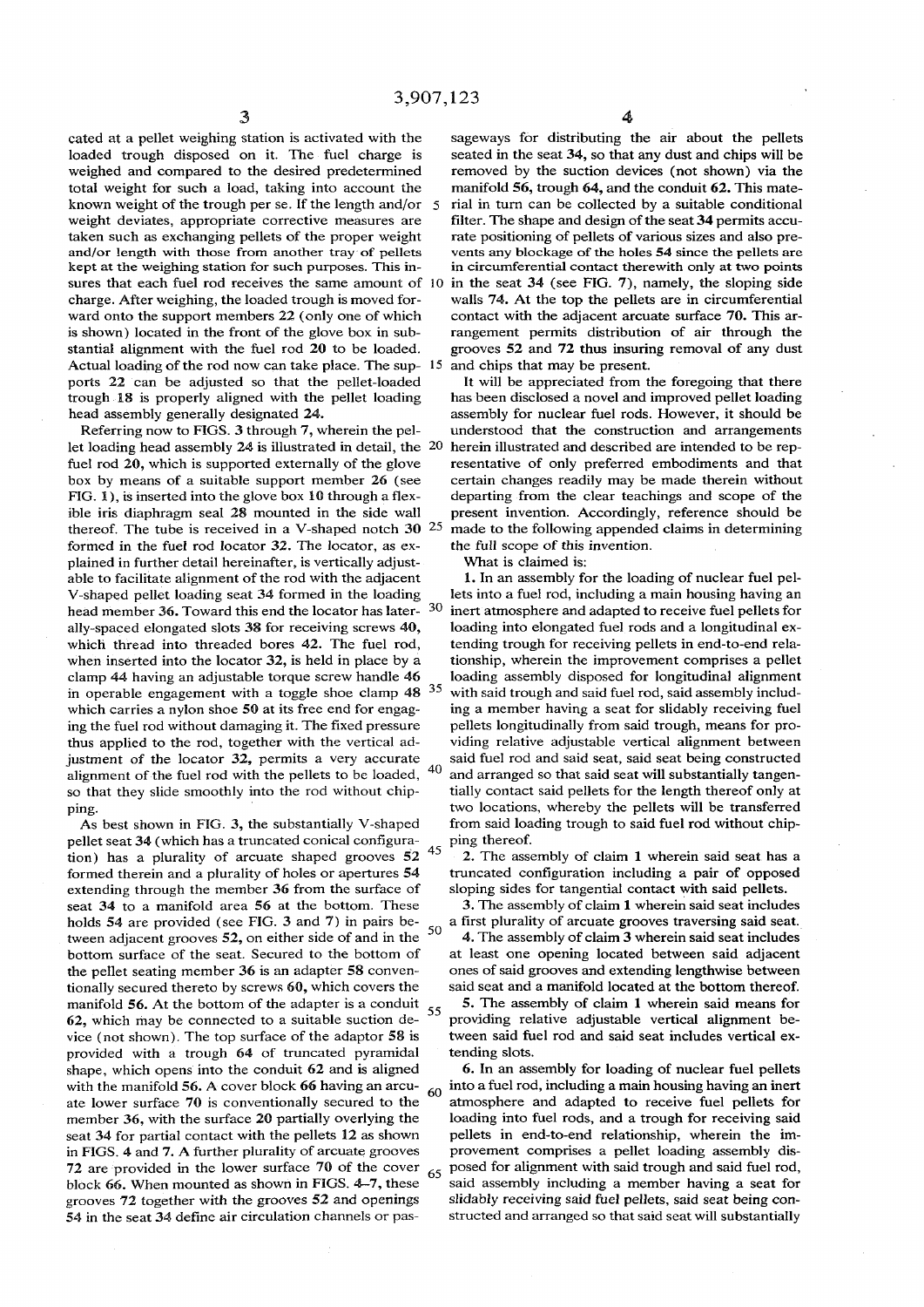**cated at a pellet weighing station is activated with the loaded trough disposed on it. The fuel charge is weighed and compared to the desired predetermined total weight for such a load, taking into account the known weight of the trough per se. If the length and/or weight deviates, appropriate corrective measures are taken such as exchanging pellets of the proper weight and/or length with those from another tray of pellets kept at the weighing station for such purposes. This insures that each fuel rod receives the same amount of charge. After weighing, the loaded trough is moved forward onto the support members 22 (only one of which is shown) located in the front of the glove box in substantial alignment with the fuel rod 20 to be loaded. Actual loading of the rod now can take place. The supports 22 can be adjusted so that the pellet-loaded trough 18 is properly aligned with the pellet loading head assembly generally designated 24.** 

**Referring now to FIGS. 3 through 7, wherein the pellet loading head assembly** *24* **is illustrated in detail, the fuel rod 20, which is supported externally of the glove box by means of a suitable support member 26 (see FIG. 1), is inserted into the glove box 10 through a flexible iris diaphragm seal 28 mounted in the side wall thereof. The tube is received in a V-shaped notch 30 25 made to the following appended claims in determining formed in the fuel rod locator 32. The locator, as explained in further detail hereinafter, is vertically adjustable to facilitate alignment of the rod with the adjacent V-shaped pellet loading seat 34 formed in the loading head member 36. Toward this end the locator has laterally-spaced elongated slots 38 for receiving screws 40, which thread into threaded bores 42. The fuel rod, when inserted into the locator 32, is held in place by a clamp 44 having an adjustable torque screw handle 46 in operable engagement with a toggle shoe clamp 48 which carries a nylon shoe 50 at its free end for engaging the fuel rod without damaging it. The fixed pressure thus applied to the rod, together with the vertical adjustment of the locator 32, permits a very accurate**  40 **alignment of the fuel rod with the pellets to be loaded, so that they slide smoothly into the rod without chipping.** 

**As best shown in FIG. 3, the substantially V-shaped pellet seat 34 (which has a truncated conical configura-4 5 tion) has a plurality of arcuate shaped grooves 52 formed therein and a plurality of holes or apertures 54 extending through the member 36 from the surface of seat 34 to a manifold area 56 at the bottom. These holds 54 are provided (see FIG. 3 and 7) in pairs be**tween adjacent grooves 52, on either side of and in the <sup>50</sup> better side. **bottom surface of the seat. Secured to the bottom of the pellet seating member 36 is an adapter 58 conventionally secured thereto by screws 60, which covers the manifold 56. At the bottom of the adapter is a conduit 62, which may be connected to a suitable suction device (not shown). The top surface of the adaptor 58 is provided with a trough 64 of truncated pyramidal shape, which opens into the conduit 62 and is aligned with the manifold 56. A cover block 66 having an arcu-**60 **ate lower surface 70 is conventionally secured to the member 36, with the surface 20 partially overlying the seat 34 for partial contact with the pellets 12 as shown in FIGS. 4 and 7. A further plurality of arcuate grooves 72 are provided in the lower surface 70 of the cover block 66. When mounted as shown in FIGS. 4-7, these grooves 72 together with the grooves 52 and openings 54 in the seat 34 define air circulation channels or pas-**

**sageways for distributing the air about the pellets seated in the seat 34, so that any dust and chips will be removed by the suction devices (not shown) via the manifold 56, trough 64, and the conduit 62. This mate-5 rial in turn can be collected by a suitable conditional filter. The shape and design of the seat 34 permits accurate positioning of pellets of various sizes and also prevents any blockage of the holes 54 since the pellets are in circumferential contact therewith only at two points**  in the seat 34 (see FIG. 7), namely, the sloping side

**walls 74. At the top the pellets are in circumferential contact with the adjacent arcuate surface 70. This arrangement permits distribution of air through the grooves 52 and 72 thus insuring removal of any dust 15 and chips that may be present.** 

**It will be appreciated from the foregoing that there has been disclosed a novel and improved pellet loading assembly for nuclear fuel rods. However, it should be understood that the construction and arrangements 20 herein illustrated and described are intended to be representative of only preferred embodiments and that certain changes readily may be made therein without departing from the clear teachings and scope of the present invention. Accordingly, reference should be the full scope of this invention.** 

**What is claimed is:** 

**1. In an assembly for the loading of nuclear fuel pellets into a fuel rod, including a main housing having an 30 inert atmosphere and adapted to receive fuel pellets for loading into elongated fuel rods and a longitudinal extending trough for receiving pellets in end-to-end relationship, wherein the improvement comprises a pellet loading assembly disposed for longitudinal alignment**  with said trough and said fuel rod, said assembly includ**ing a member having a seat for slidably receiving fuel pellets longitudinally from said trough, means for providing relative adjustable vertical alignment between said fuel rod and said seat, said seat being constructed and arranged so that said seat will substantially tangentially contact said pellets for the length thereof only at two locations, whereby the pellets will be transferred from said loading trough to said fuel rod without chipping thereof.** 

 **2. The assembly of claim 1 wherein said seat has a truncated configuration including a pair of opposed sloping sides for tangential contact with said pellets.** 

**3. The assembly of claim 1 wherein said seat includes ^ a first plurality of arcuate grooves traversing said seat. 4. The assembly of claim 3 wherein said seat includes at least one opening located between said adjacent** 

**ones of said grooves and extending lengthwise between said seat and a manifold located at the bottom thereof. <sup>5</sup> <sup>5</sup> 5. The assembly of claim 1 wherein said means for** 

**providing relative adjustable vertical alignment between said fuel rod and said seat includes vertical extending slots.** 

**6. In an assembly for loading of nuclear fuel pellets into a fuel rod, including a main housing having an inert atmosphere and adapted to receive fuel pellets for loading into fuel rods, and a trough for receiving said pellets in end-to-end relationship, wherein the improvement comprises a pellet loading assembly dis-<sup>6</sup> <sup>5</sup> posed for alignment with said trough and said fuel rod, said assembly including a member having a seat for slidably receiving said fuel pellets, said seat being constructed and arranged so that said seat will substantially**